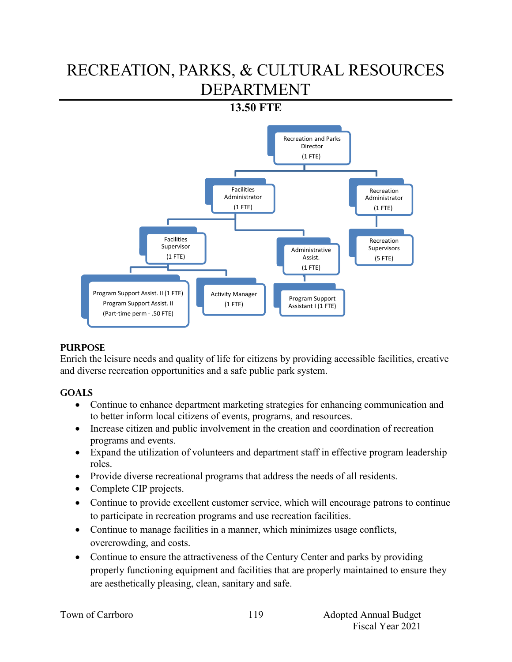# RECREATION, PARKS, & CULTURAL RESOURCES DEPARTMENT

# **13.50 FTE**



### **PURPOSE**

Enrich the leisure needs and quality of life for citizens by providing accessible facilities, creative and diverse recreation opportunities and a safe public park system.

### **GOALS**

- Continue to enhance department marketing strategies for enhancing communication and to better inform local citizens of events, programs, and resources.
- Increase citizen and public involvement in the creation and coordination of recreation programs and events.
- Expand the utilization of volunteers and department staff in effective program leadership roles.
- Provide diverse recreational programs that address the needs of all residents.
- Complete CIP projects.
- Continue to provide excellent customer service, which will encourage patrons to continue to participate in recreation programs and use recreation facilities.
- Continue to manage facilities in a manner, which minimizes usage conflicts, overcrowding, and costs.
- Continue to ensure the attractiveness of the Century Center and parks by providing properly functioning equipment and facilities that are properly maintained to ensure they are aesthetically pleasing, clean, sanitary and safe.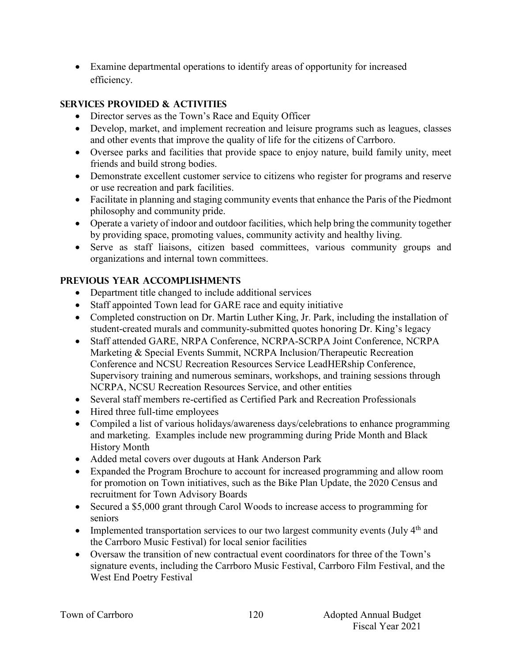Examine departmental operations to identify areas of opportunity for increased efficiency.

# **SERVICES PROVIDED & ACTIVITIES**

- Director serves as the Town's Race and Equity Officer
- Develop, market, and implement recreation and leisure programs such as leagues, classes and other events that improve the quality of life for the citizens of Carrboro.
- Oversee parks and facilities that provide space to enjoy nature, build family unity, meet friends and build strong bodies.
- Demonstrate excellent customer service to citizens who register for programs and reserve or use recreation and park facilities.
- Facilitate in planning and staging community events that enhance the Paris of the Piedmont philosophy and community pride.
- Operate a variety of indoor and outdoor facilities, which help bring the community together by providing space, promoting values, community activity and healthy living.
- Serve as staff liaisons, citizen based committees, various community groups and organizations and internal town committees.

# **PREVIOUS YEAR ACCOMPLISHMENTS**

- Department title changed to include additional services
- Staff appointed Town lead for GARE race and equity initiative
- Completed construction on Dr. Martin Luther King, Jr. Park, including the installation of student-created murals and community-submitted quotes honoring Dr. King's legacy
- Staff attended GARE, NRPA Conference, NCRPA-SCRPA Joint Conference, NCRPA Marketing & Special Events Summit, NCRPA Inclusion/Therapeutic Recreation Conference and NCSU Recreation Resources Service LeadHERship Conference, Supervisory training and numerous seminars, workshops, and training sessions through NCRPA, NCSU Recreation Resources Service, and other entities
- Several staff members re-certified as Certified Park and Recreation Professionals
- Hired three full-time employees
- Compiled a list of various holidays/awareness days/celebrations to enhance programming and marketing. Examples include new programming during Pride Month and Black History Month
- Added metal covers over dugouts at Hank Anderson Park
- Expanded the Program Brochure to account for increased programming and allow room for promotion on Town initiatives, such as the Bike Plan Update, the 2020 Census and recruitment for Town Advisory Boards
- Secured a \$5,000 grant through Carol Woods to increase access to programming for seniors
- Implemented transportation services to our two largest community events (July  $4<sup>th</sup>$  and the Carrboro Music Festival) for local senior facilities
- Oversaw the transition of new contractual event coordinators for three of the Town's signature events, including the Carrboro Music Festival, Carrboro Film Festival, and the West End Poetry Festival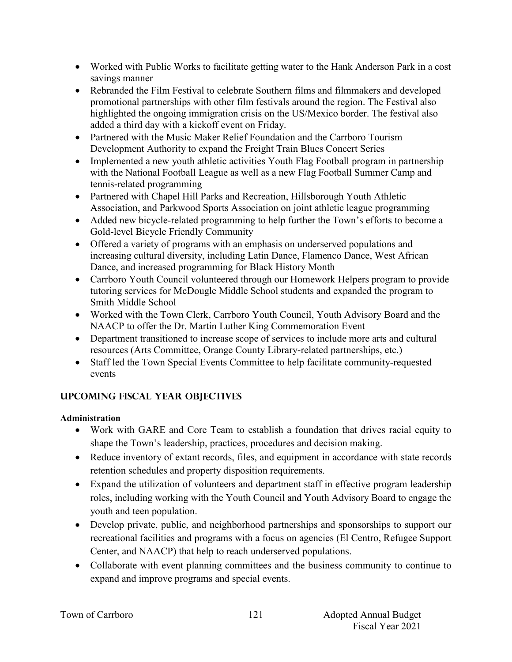- Worked with Public Works to facilitate getting water to the Hank Anderson Park in a cost savings manner
- Rebranded the Film Festival to celebrate Southern films and filmmakers and developed promotional partnerships with other film festivals around the region. The Festival also highlighted the ongoing immigration crisis on the US/Mexico border. The festival also added a third day with a kickoff event on Friday.
- Partnered with the Music Maker Relief Foundation and the Carrboro Tourism Development Authority to expand the Freight Train Blues Concert Series
- Implemented a new youth athletic activities Youth Flag Football program in partnership with the National Football League as well as a new Flag Football Summer Camp and tennis-related programming
- Partnered with Chapel Hill Parks and Recreation, Hillsborough Youth Athletic Association, and Parkwood Sports Association on joint athletic league programming
- Added new bicycle-related programming to help further the Town's efforts to become a Gold-level Bicycle Friendly Community
- Offered a variety of programs with an emphasis on underserved populations and increasing cultural diversity, including Latin Dance, Flamenco Dance, West African Dance, and increased programming for Black History Month
- Carrboro Youth Council volunteered through our Homework Helpers program to provide tutoring services for McDougle Middle School students and expanded the program to Smith Middle School
- Worked with the Town Clerk, Carrboro Youth Council, Youth Advisory Board and the NAACP to offer the Dr. Martin Luther King Commemoration Event
- Department transitioned to increase scope of services to include more arts and cultural resources (Arts Committee, Orange County Library-related partnerships, etc.)
- Staff led the Town Special Events Committee to help facilitate community-requested events

# **UPCOMING FISCAL YEAR OBJECTIVES**

### **Administration**

- Work with GARE and Core Team to establish a foundation that drives racial equity to shape the Town's leadership, practices, procedures and decision making.
- Reduce inventory of extant records, files, and equipment in accordance with state records retention schedules and property disposition requirements.
- Expand the utilization of volunteers and department staff in effective program leadership roles, including working with the Youth Council and Youth Advisory Board to engage the youth and teen population.
- Develop private, public, and neighborhood partnerships and sponsorships to support our recreational facilities and programs with a focus on agencies (El Centro, Refugee Support Center, and NAACP) that help to reach underserved populations.
- Collaborate with event planning committees and the business community to continue to expand and improve programs and special events.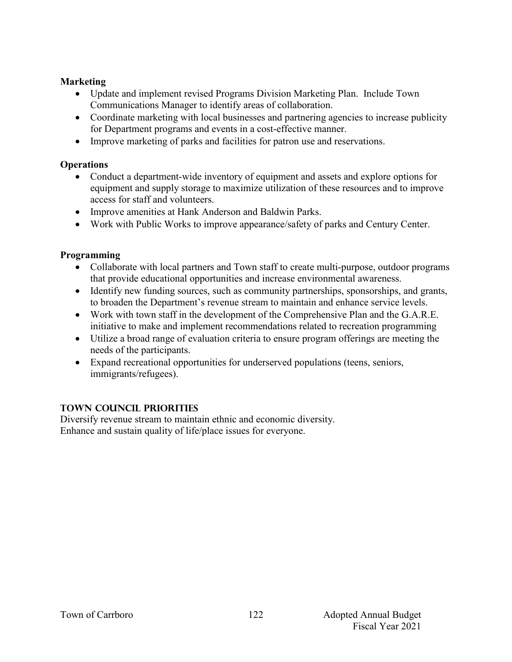### **Marketing**

- Update and implement revised Programs Division Marketing Plan. Include Town Communications Manager to identify areas of collaboration.
- Coordinate marketing with local businesses and partnering agencies to increase publicity for Department programs and events in a cost-effective manner.
- Improve marketing of parks and facilities for patron use and reservations.

### **Operations**

- Conduct a department-wide inventory of equipment and assets and explore options for equipment and supply storage to maximize utilization of these resources and to improve access for staff and volunteers.
- Improve amenities at Hank Anderson and Baldwin Parks.
- Work with Public Works to improve appearance/safety of parks and Century Center.

### **Programming**

- Collaborate with local partners and Town staff to create multi-purpose, outdoor programs that provide educational opportunities and increase environmental awareness.
- Identify new funding sources, such as community partnerships, sponsorships, and grants, to broaden the Department's revenue stream to maintain and enhance service levels.
- Work with town staff in the development of the Comprehensive Plan and the G.A.R.E. initiative to make and implement recommendations related to recreation programming
- Utilize a broad range of evaluation criteria to ensure program offerings are meeting the needs of the participants.
- Expand recreational opportunities for underserved populations (teens, seniors, immigrants/refugees).

### **TOWN COUNCIL PRIORITIES**

Diversify revenue stream to maintain ethnic and economic diversity. Enhance and sustain quality of life/place issues for everyone.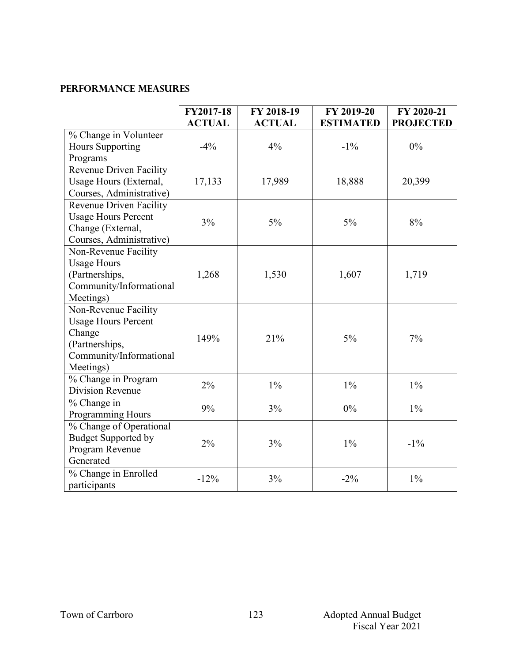### **Performance Measures**

|                                | FY2017-18     | FY 2018-19    | FY 2019-20       | FY 2020-21       |
|--------------------------------|---------------|---------------|------------------|------------------|
|                                | <b>ACTUAL</b> | <b>ACTUAL</b> | <b>ESTIMATED</b> | <b>PROJECTED</b> |
| % Change in Volunteer          |               |               |                  |                  |
| <b>Hours Supporting</b>        | $-4\%$        | 4%            | $-1\%$           | $0\%$            |
| Programs                       |               |               |                  |                  |
| Revenue Driven Facility        |               |               |                  |                  |
| Usage Hours (External,         | 17,133        | 17,989        | 18,888           | 20,399           |
| Courses, Administrative)       |               |               |                  |                  |
| <b>Revenue Driven Facility</b> |               |               |                  |                  |
| <b>Usage Hours Percent</b>     |               |               |                  |                  |
| Change (External,              | 3%            | 5%            | $5\%$            | 8%               |
| Courses, Administrative)       |               |               |                  |                  |
| Non-Revenue Facility           |               |               |                  |                  |
| <b>Usage Hours</b>             |               |               |                  |                  |
| (Partnerships,                 | 1,268         | 1,530         | 1,607            | 1,719            |
| Community/Informational        |               |               |                  |                  |
| Meetings)                      |               |               |                  |                  |
| Non-Revenue Facility           |               |               |                  |                  |
| <b>Usage Hours Percent</b>     |               |               |                  |                  |
| Change                         |               |               |                  |                  |
| (Partnerships,                 | 149%          | 21%           | $5\%$            | 7%               |
| Community/Informational        |               |               |                  |                  |
| Meetings)                      |               |               |                  |                  |
| % Change in Program            |               |               |                  |                  |
| Division Revenue               | 2%            | $1\%$         | $1\%$            | $1\%$            |
| % Change in                    |               |               |                  |                  |
| Programming Hours              | 9%            | 3%            | $0\%$            | $1\%$            |
| % Change of Operational        |               |               |                  |                  |
| <b>Budget Supported by</b>     |               |               |                  |                  |
| Program Revenue                | 2%            | 3%            | $1\%$            | $-1\%$           |
| Generated                      |               |               |                  |                  |
| % Change in Enrolled           |               |               |                  |                  |
| participants                   | $-12%$        | 3%            | $-2\%$           | $1\%$            |
|                                |               |               |                  |                  |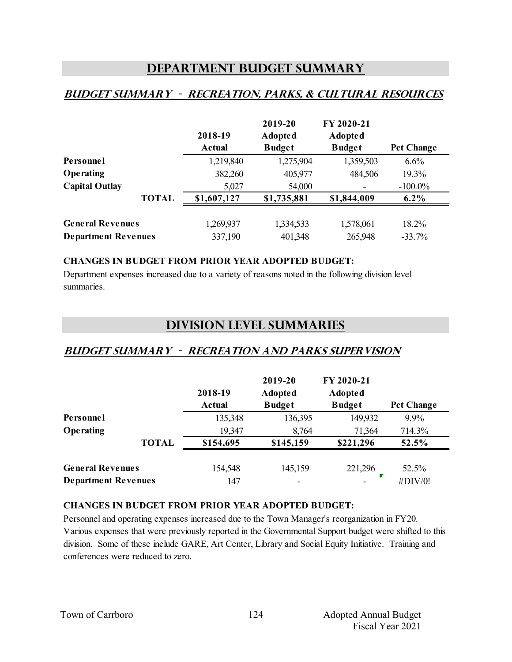# **Department Budget Summary**

# **Budget summary - recreation, parks, & cultural resources**

|                            |              | 2018-19       | 2019-20<br>Adopted | FY 2020-21<br>Adopted |                   |
|----------------------------|--------------|---------------|--------------------|-----------------------|-------------------|
|                            |              | <b>Actual</b> | <b>Budget</b>      | <b>Budget</b>         | <b>Pct Change</b> |
| Personnel                  |              | 1,219,840     | 1,275,904          | 1,359,503             | 6.6%              |
| Operating                  |              | 382,260       | 405,977            | 484,506               | 19.3%             |
| <b>Capital Outlay</b>      |              | 5,027         | 54,000             |                       | $-100.0\%$        |
|                            | <b>TOTAL</b> | \$1,607,127   | \$1,735,881        | \$1,844,009           | $6.2\%$           |
| <b>General Revenues</b>    |              | 1,269,937     | 1,334,533          | 1,578,061             | 18.2%             |
| <b>Department Revenues</b> |              | 337,190       | 401,348            | 265,948               | $-33.7%$          |

#### **CHANGES IN BUDGET FROM PRIOR YEAR ADOPTED BUDGET:**

Department expenses increased due to a variety of reasons noted in the following division level summaries.

# **Division Level Summaries**

### **Budget summary - recreation and parks supervision**

|                            |              | 2018-19<br><b>Actual</b> | 2019-20<br>Adopted<br><b>Budget</b> | FY 2020-21<br>Adopted<br><b>Budget</b> | <b>Pct Change</b> |
|----------------------------|--------------|--------------------------|-------------------------------------|----------------------------------------|-------------------|
| Personnel                  |              | 135,348                  | 136,395                             | 149,932                                | 9.9%              |
| Operating                  |              | 19,347                   | 8,764                               | 71,364                                 | 714.3%            |
|                            | <b>TOTAL</b> | \$154,695                | \$145,159                           | \$221,296                              | 52.5%             |
| <b>General Revenues</b>    |              | 154,548                  | 145,159                             | 221,296                                | 52.5%             |
| <b>Department Revenues</b> |              | 147                      |                                     |                                        | #DIV/0!           |

### **CHANGES IN BUDGET FROM PRIOR YEAR ADOPTED BUDGET:**

Personnel and operating expenses increased due to the Town Manager's reorganization in FY20. Various expenses that were previously reported in the Governmental Support budget were shifted to this division. Some of these include GARE, Art Center, Library and Social Equity Initiative. Training and conferences were reduced to zero.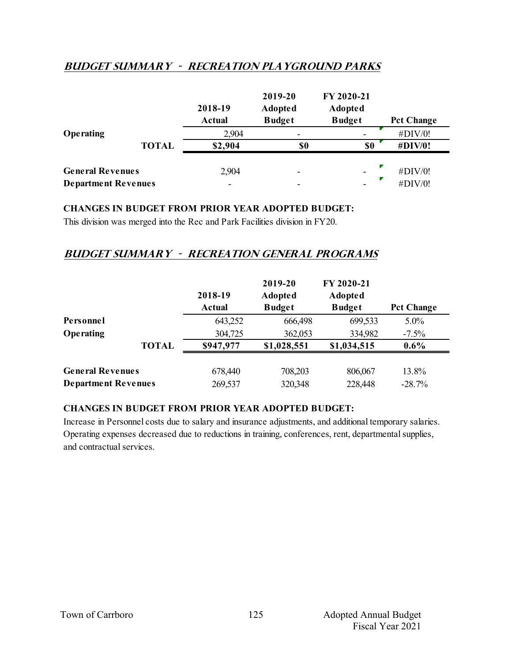# **Budget summary - recreation playground parks**

|                            |              | 2018-19<br><b>Actual</b> | 2019-20<br><b>Adopted</b><br><b>Budget</b> | FY 2020-21<br>Adopted<br><b>Budget</b> | <b>Pct Change</b> |
|----------------------------|--------------|--------------------------|--------------------------------------------|----------------------------------------|-------------------|
| Operating                  |              | 2,904                    | $\overline{\phantom{0}}$                   |                                        | #DIV/0!           |
|                            | <b>TOTAL</b> | \$2,904                  | \$0                                        | \$0                                    | <b>#DIV/0!</b>    |
| <b>General Revenues</b>    |              | 2,904                    | $\overline{\phantom{0}}$                   | $\overline{\phantom{0}}$               | #DIV/0!           |
| <b>Department Revenues</b> |              |                          |                                            |                                        | #DIV/0!           |

### **CHANGES IN BUDGET FROM PRIOR YEAR ADOPTED BUDGET:**

This division was merged into the Rec and Park Facilities division in FY20.

### **Budget summary - recreation general programs**

|                         | 2018-19<br>Actual          | 2019-20<br><b>Adopted</b><br><b>Budget</b> | FY 2020-21<br><b>Adopted</b><br><b>Budget</b> | <b>Pct Change</b> |
|-------------------------|----------------------------|--------------------------------------------|-----------------------------------------------|-------------------|
|                         | 643,252                    | 666,498                                    | 699,533                                       | $5.0\%$           |
|                         | 304,725                    | 362,053                                    | 334,982                                       | $-7.5\%$          |
| <b>TOTAL</b>            | \$947,977                  | \$1,028,551                                | \$1,034,515                                   | $0.6\%$           |
| <b>General Revenues</b> | 678,440                    | 708,203                                    | 806,067                                       | 13.8%<br>$-28.7%$ |
|                         | <b>Department Revenues</b> | 269,537                                    | 320,348                                       | 228,448           |

### **CHANGES IN BUDGET FROM PRIOR YEAR ADOPTED BUDGET:**

Increase in Personnel costs due to salary and insurance adjustments, and additional temporary salaries. Operating expenses decreased due to reductions in training, conferences, rent, departmental supplies, and contractual services.